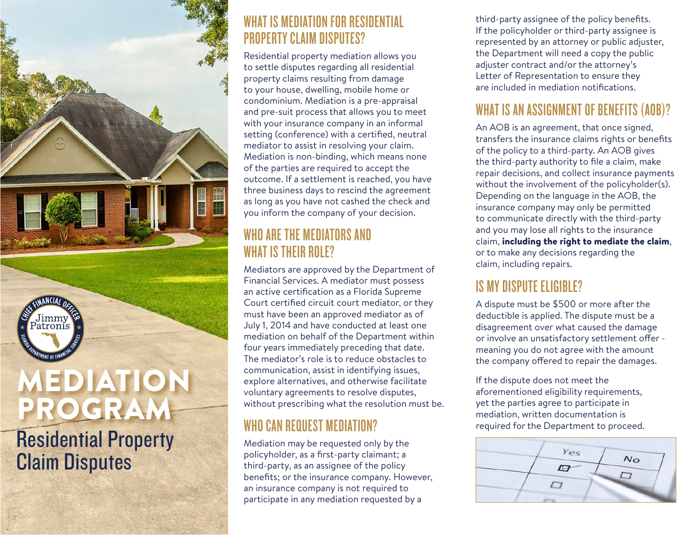

Residential Property Claim Disputes

#### WHAT IS MEDIATION FOR RESIDENTIAL PROPERTY CLAIM DISPUTES?

Residential property mediation allows you to settle disputes regarding all residential property claims resulting from damage to your house, dwelling, mobile home or condominium. Mediation is a pre-appraisal and pre-suit process that allows you to meet with your insurance company in an informal setting (conference) with a certified, neutral mediator to assist in resolving your claim. Mediation is non-binding, which means none of the parties are required to accept the outcome. If a settlement is reached, you have three business days to rescind the agreement as long as you have not cashed the check and you inform the company of your decision.

#### WHO ARE THE MEDIATORS AND WHAT IS THEIR ROLE?

Mediators are approved by the Department of Financial Services. A mediator must possess an active certification as a Florida Supreme Court certified circuit court mediator, or they must have been an approved mediator as of July 1, 2014 and have conducted at least one mediation on behalf of the Department within four years immediately preceding that date. The mediator's role is to reduce obstacles to communication, assist in identifying issues, explore alternatives, and otherwise facilitate voluntary agreements to resolve disputes, without prescribing what the resolution must be.

# WHO CAN REQUEST MEDIATION?

Mediation may be requested only by the policyholder, as a first-party claimant; a third-party, as an assignee of the policy benefits; or the insurance company. However, an insurance company is not required to

third-party assignee of the policy benefits. If the policyholder or third-party assignee is represented by an attorney or public adjuster, the Department will need a copy the public adjuster contract and/or the attorney's Letter of Representation to ensure they are included in mediation notifications.

### WHAT IS AN ASSIGNMENT OF BENEFITS (AOB)?

An AOB is an agreement, that once signed, transfers the insurance claims rights or benefits of the policy to a third-party. An AOB gives the third-party authority to file a claim, make repair decisions, and collect insurance payments without the involvement of the policyholder(s). Depending on the language in the AOB, the insurance company may only be permitted to communicate directly with the third-party and you may lose all rights to the insurance claim, including the right to mediate the claim, or to make any decisions regarding the claim, including repairs.

## IS MY DISPUTE ELIGIBLE?

A dispute must be \$500 or more after the deductible is applied. The dispute must be a disagreement over what caused the damage or involve an unsatisfactory settlement offer meaning you do not agree with the amount the company offered to repair the damages.

If the dispute does not meet the aforementioned eligibility requirements, yet the parties agree to participate in mediation, written documentation is required for the Department to proceed.